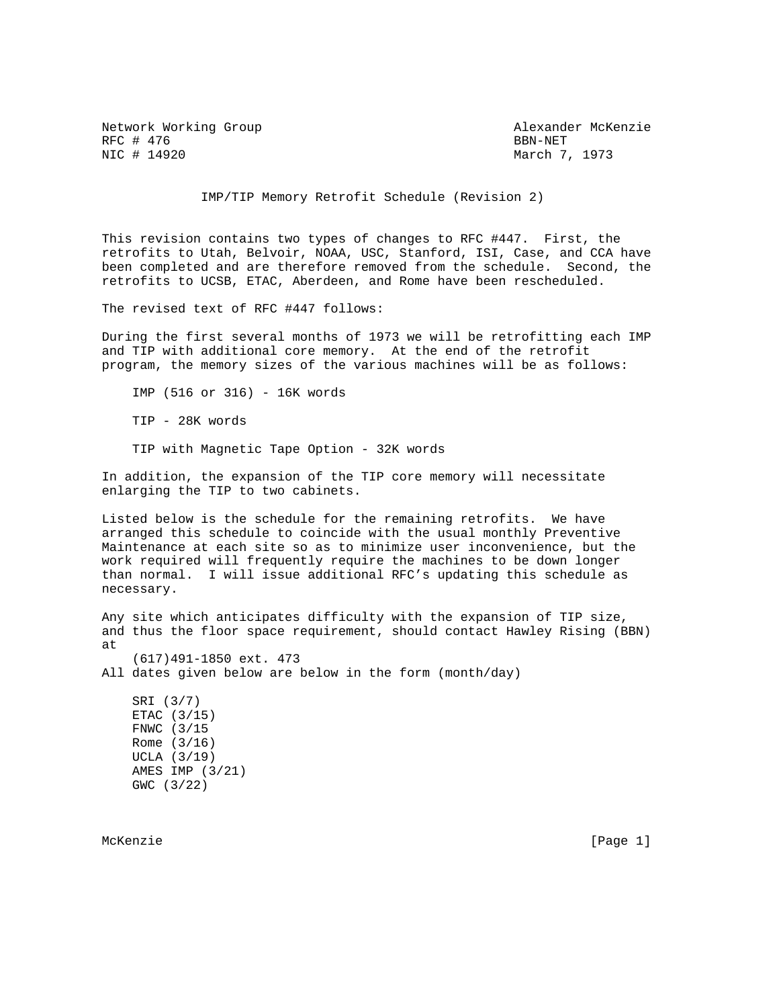Network Working Group Alexander McKenzie RFC # 476 BBN-NET & REC # 476 BBN-NET & REC # 14920

March 7, 1973

IMP/TIP Memory Retrofit Schedule (Revision 2)

This revision contains two types of changes to RFC #447. First, the retrofits to Utah, Belvoir, NOAA, USC, Stanford, ISI, Case, and CCA have been completed and are therefore removed from the schedule. Second, the retrofits to UCSB, ETAC, Aberdeen, and Rome have been rescheduled.

The revised text of RFC #447 follows:

During the first several months of 1973 we will be retrofitting each IMP and TIP with additional core memory. At the end of the retrofit program, the memory sizes of the various machines will be as follows:

 IMP (516 or 316) - 16K words TIP - 28K words TIP with Magnetic Tape Option - 32K words

In addition, the expansion of the TIP core memory will necessitate enlarging the TIP to two cabinets.

Listed below is the schedule for the remaining retrofits. We have arranged this schedule to coincide with the usual monthly Preventive Maintenance at each site so as to minimize user inconvenience, but the work required will frequently require the machines to be down longer than normal. I will issue additional RFC's updating this schedule as necessary.

Any site which anticipates difficulty with the expansion of TIP size, and thus the floor space requirement, should contact Hawley Rising (BBN) at (617)491-1850 ext. 473 All dates given below are below in the form (month/day)

 SRI (3/7) ETAC (3/15) FNWC (3/15 Rome (3/16) UCLA (3/19) AMES IMP (3/21) GWC (3/22)

McKenzie [Page 1]